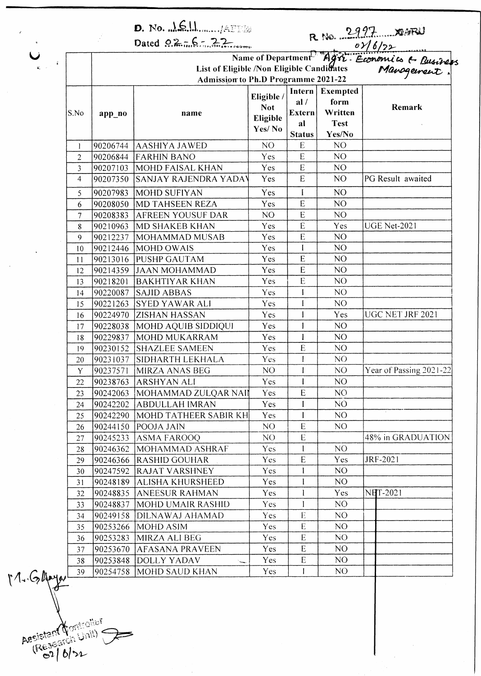|              |                                                                                                                                                                                                              | Dated $92.76 - 22$                         |                                                |                               |                                            |                         |      |  |  |               |
|--------------|--------------------------------------------------------------------------------------------------------------------------------------------------------------------------------------------------------------|--------------------------------------------|------------------------------------------------|-------------------------------|--------------------------------------------|-------------------------|------|--|--|---------------|
|              |                                                                                                                                                                                                              |                                            |                                                |                               |                                            |                         |      |  |  |               |
|              | R No. 2997 XISTEL<br>Name of Department <sup>5</sup> Agric Economics & Rusiness<br>igible /Non Eligible Candidates Manogement.<br>Non to Ph.D Programme 2021-22<br>List of Eligible /Non Eligible Candidates |                                            |                                                |                               |                                            |                         |      |  |  |               |
|              |                                                                                                                                                                                                              | <b>Admission to Ph.D Programme 2021-22</b> |                                                |                               |                                            |                         |      |  |  |               |
|              | app_no                                                                                                                                                                                                       | name                                       | Eligible /<br><b>Not</b><br>Eligible<br>Yes/No | Intern<br>al/<br>Extern<br>al | Exempted<br>form<br>Written<br><b>Test</b> | Remark                  |      |  |  |               |
|              |                                                                                                                                                                                                              |                                            |                                                |                               |                                            |                         | S.No |  |  |               |
|              |                                                                                                                                                                                                              |                                            |                                                |                               |                                            |                         |      |  |  |               |
|              |                                                                                                                                                                                                              |                                            |                                                |                               |                                            |                         |      |  |  | <b>Status</b> |
| $\mathbf{I}$ | 90206744                                                                                                                                                                                                     | <b>AASHIYA JAWED</b>                       | NO                                             | E                             | N <sub>O</sub>                             |                         |      |  |  |               |
| 2            | 90206844                                                                                                                                                                                                     | <b>FARHIN BANO</b>                         | Yes                                            | E                             | NO                                         |                         |      |  |  |               |
| 3            | 90207103                                                                                                                                                                                                     | MOHD FAISAL KHAN                           | Yes                                            | E                             | N <sub>O</sub>                             |                         |      |  |  |               |
| 4            | 90207350                                                                                                                                                                                                     | SANJAY RAJENDRA YADAV                      | Yes                                            | E                             | N <sub>O</sub>                             | PG Result awaited       |      |  |  |               |
| 5            | 90207983                                                                                                                                                                                                     | MOHD SUFIYAN                               | Yes                                            | I                             | NO <sub></sub>                             |                         |      |  |  |               |
| 6            | 90208050                                                                                                                                                                                                     | <b>MD TAHSEEN REZA</b>                     | Yes                                            | E                             | NO                                         |                         |      |  |  |               |
| 7            | 90208383                                                                                                                                                                                                     | <b>AFREEN YOUSUF DAR</b>                   | NO <sub>1</sub>                                | E                             | N <sub>O</sub>                             |                         |      |  |  |               |
| 8            | 90210963                                                                                                                                                                                                     | MD SHAKEB KHAN                             | Yes                                            | E                             | Yes                                        | <b>UGE Net-2021</b>     |      |  |  |               |
| 9            | 90212237                                                                                                                                                                                                     | MOHAMMAD MUSAB                             | Yes                                            | E                             | NO                                         |                         |      |  |  |               |
| 10           | 90212446                                                                                                                                                                                                     | MOHD OWAIS                                 | Yes                                            | $\mathbf{I}$                  | N <sub>O</sub>                             |                         |      |  |  |               |
| $\mathbf{1}$ | 90213016                                                                                                                                                                                                     | <b>PUSHP GAUTAM</b>                        | Yes                                            | E                             | NO                                         |                         |      |  |  |               |
| 12           | 90214359                                                                                                                                                                                                     | <b>JAAN MOHAMMAD</b>                       | Yes                                            | E                             | NO                                         |                         |      |  |  |               |
| 13           | 90218201                                                                                                                                                                                                     | <b>BAKHTIYAR KHAN</b>                      | Yes                                            | E                             | NO                                         |                         |      |  |  |               |
| 14           | 90220087                                                                                                                                                                                                     | <b>SAJID ABBAS</b>                         | Yes                                            | $\mathbf{I}$                  | NO                                         |                         |      |  |  |               |
| 15           | 90221263                                                                                                                                                                                                     | <b>SYED YAWAR ALI</b>                      | Yes                                            | I                             | NO                                         |                         |      |  |  |               |
| 16           | 90224970                                                                                                                                                                                                     | <b>ZISHAN HASSAN</b>                       | Yes                                            | I                             | Yes                                        | UGC NET JRF 2021        |      |  |  |               |
| 17           | 90228038                                                                                                                                                                                                     | MOHD AQUIB SIDDIQUI                        | Yes                                            | I                             | NO <sub>1</sub>                            |                         |      |  |  |               |
| 18           | 90229837                                                                                                                                                                                                     | MOHD MUKARRAM                              | Yes                                            | I                             | NO                                         |                         |      |  |  |               |
| 19           | 90230152                                                                                                                                                                                                     | <b>SHAZLEE SAMEEN</b>                      | Yes                                            | E                             | NO                                         |                         |      |  |  |               |
| 20           | 90231037                                                                                                                                                                                                     | SIDHARTH LEKHALA                           | Yes                                            | $\mathbf I$                   | NO                                         |                         |      |  |  |               |
| Y            |                                                                                                                                                                                                              | 90237571 MIRZA ANAS BEG                    | NO                                             | I                             | NO                                         | Year of Passing 2021-22 |      |  |  |               |
| 22           | 90238763                                                                                                                                                                                                     | <b>ARSHYAN ALI</b>                         | Yes                                            | I                             | NO                                         |                         |      |  |  |               |
| 23           | 90242063                                                                                                                                                                                                     | ¦MOHAMMAD ZULQAR NAII                      | Yes                                            | E                             | NO <sub>1</sub>                            |                         |      |  |  |               |
| 24           | 90242202                                                                                                                                                                                                     | ABDULLAH IMRAN                             | Yes                                            |                               | NO                                         |                         |      |  |  |               |
| 25           | 90242290                                                                                                                                                                                                     | MOHD TATHEER SABIR KH                      | Yes                                            | I                             | NO                                         |                         |      |  |  |               |
| 26           | 90244150                                                                                                                                                                                                     | POOJA JAIN                                 | NO                                             | E                             | NO.                                        |                         |      |  |  |               |
| 27           | 90245233                                                                                                                                                                                                     | <b>ASMA FAROOQ</b>                         | NO.                                            | E                             |                                            | 48% in GRADUATION       |      |  |  |               |
| 28           | 90246362                                                                                                                                                                                                     | MOHAMMAD ASHRAF                            | <b>Yes</b>                                     | $\mathbf{I}$                  | NO                                         |                         |      |  |  |               |
| 29           | 90246366                                                                                                                                                                                                     | <b>RASHID GOUHAR</b>                       | <b>Yes</b>                                     | ${\bf E}$                     | <b>Yes</b>                                 | JRF-2021                |      |  |  |               |
| 30           | 90247592                                                                                                                                                                                                     | <b>RAJAT VARSHNEY</b>                      | Yes                                            | $\mathbf{I}$                  | NO                                         |                         |      |  |  |               |
| 31           | 90248189                                                                                                                                                                                                     | ALISHA KHURSHEED                           | <b>Yes</b>                                     | I                             | NO.                                        |                         |      |  |  |               |
| 32           | 90248835                                                                                                                                                                                                     | <b>ANEESUR RAHMAN</b>                      | Yes                                            | $\mathbf{I}$                  | Yes                                        | <b>NHT-2021</b>         |      |  |  |               |
| 33           | 90248837                                                                                                                                                                                                     | MOHD UMAIR RASHID                          | <b>Yes</b>                                     | I                             | NO                                         |                         |      |  |  |               |
| 34           | 90249158                                                                                                                                                                                                     | DILNAWAJ AHAMAD                            | <b>Yes</b>                                     | $\mathbf E$                   | NO.                                        |                         |      |  |  |               |
| 35           | 90253266                                                                                                                                                                                                     | MOHD ASIM                                  | Yes                                            | ${\sf E}$                     | NO.                                        |                         |      |  |  |               |
| 36           | 90253283                                                                                                                                                                                                     | MIRZA ALI BEG                              | <b>Yes</b>                                     | $\mathbf E$                   | NO                                         |                         |      |  |  |               |
| 37           | 90253670                                                                                                                                                                                                     | AFASANA PRAVEEN                            | Yes                                            | E                             | NO.                                        |                         |      |  |  |               |
| 38           | 90253848                                                                                                                                                                                                     | <b>DOLLY YADAV</b>                         | Yes                                            | ${\bf E}$                     | NO.                                        |                         |      |  |  |               |
| 39           | 90254758                                                                                                                                                                                                     | <b>MOHD SAUD KHAN</b>                      | <b>Yes</b>                                     | $\mathbf{I}$                  | NO.                                        |                         |      |  |  |               |

Aesistant Controller

 $M.644$ 

 $\ddot{\phantom{a}}$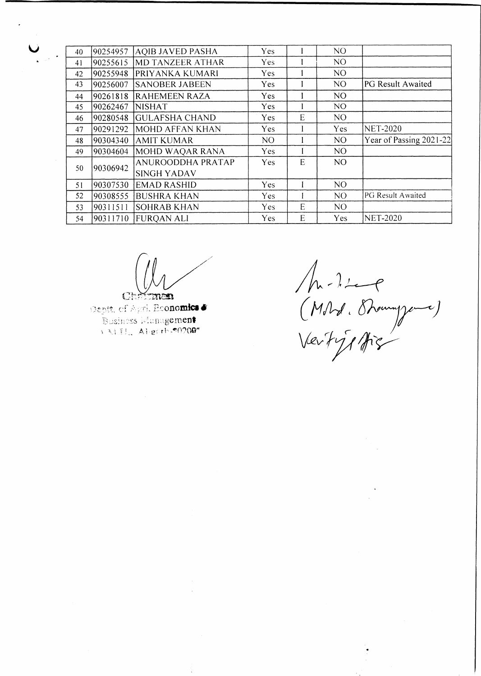| 40 | 90254957 | <b>AQIB JAVED PASHA</b> | Yes        |   | NO.             |                         |
|----|----------|-------------------------|------------|---|-----------------|-------------------------|
| 41 | 90255615 | <b>MD TANZEER ATHAR</b> | <b>Yes</b> |   | NO <sub>1</sub> |                         |
| 42 | 90255948 | PRIYANKA KUMARI         | <b>Yes</b> |   | N <sub>O</sub>  |                         |
| 43 | 90256007 | <b>SANOBER JABEEN</b>   | <b>Yes</b> |   | N <sub>O</sub>  | PG Result Awaited       |
| 44 | 90261818 | <b>RAHEMEEN RAZA</b>    | <b>Yes</b> |   | N <sub>O</sub>  |                         |
| 45 | 90262467 | <b>NISHAT</b>           | <b>Yes</b> |   | NO.             |                         |
| 46 | 90280548 | <b>GULAFSHA CHAND</b>   | Yes.       | E | N <sub>O</sub>  |                         |
| 47 | 90291292 | MOHD AFFAN KHAN         | Yes        |   | Yes             | <b>NET-2020</b>         |
| 48 | 90304340 | <b>AMIT KUMAR</b>       | NO         |   | N <sub>O</sub>  | Year of Passing 2021-22 |
| 49 | 90304604 | MOHD WAQAR RANA         | <b>Yes</b> |   | N <sub>O</sub>  |                         |
| 50 | 90306942 | ANUROODDHA PRATAP       | <b>Yes</b> | E | N <sub>O</sub>  |                         |
|    |          | <b>SINGH YADAV</b>      |            |   |                 |                         |
| 51 | 90307530 | <b>EMAD RASHID</b>      | <b>Yes</b> |   | N <sub>O</sub>  |                         |
| 52 | 90308555 | <b>BUSHRA KHAN</b>      | <b>Yes</b> |   | NO.             | PG Result Awaited       |
| 53 | 90311511 | <b>SOHRAB KHAN</b>      | <b>Yes</b> | E | NO.             |                         |
| 54 | 90311710 | <b>FUROAN ALI</b>       | Yes.       | E | <b>Yes</b>      | NET-2020                |
|    |          |                         |            |   |                 |                         |

 $C$ : توقيح

Ť

Deptt. of Agri. Roonomics & Business Management VALUE Aligerhis0200"

Mr. I. 2 e